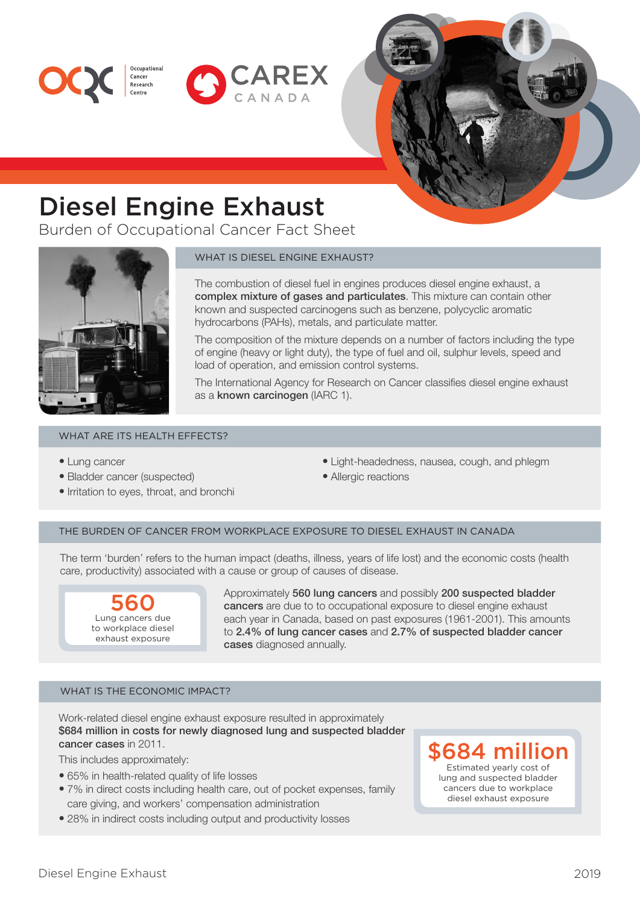



# Diesel Engine Exhaust

Cancer Research

Burden of Occupational Cancer Fact Sheet



# WHAT IS DIESEL ENGINE EXHAUST?

The combustion of diesel fuel in engines produces diesel engine exhaust, a complex mixture of gases and particulates. This mixture can contain other known and suspected carcinogens such as benzene, polycyclic aromatic hydrocarbons (PAHs), metals, and particulate matter.

The composition of the mixture depends on a number of factors including the type of engine (heavy or light duty), the type of fuel and oil, sulphur levels, speed and load of operation, and emission control systems.

The International Agency for Research on Cancer classifies diesel engine exhaust as a known carcinogen (IARC 1).

## WHAT ARE ITS HEALTH EFFECTS?

- Lung cancer
- Bladder cancer (suspected)
- Irritation to eyes, throat, and bronchi
- Light-headedness, nausea, cough, and phlegm
- Allergic reactions

# THE BURDEN OF CANCER FROM WORKPLACE EXPOSURE TO DIESEL EXHAUST IN CANADA

The term 'burden' refers to the human impact (deaths, illness, years of life lost) and the economic costs (health care, productivity) associated with a cause or group of causes of disease.

## 560 Lung cancers due to workplace diesel exhaust exposure

Approximately 560 lung cancers and possibly 200 suspected bladder cancers are due to to occupational exposure to diesel engine exhaust each year in Canada, based on past exposures (1961-2001). This amounts to 2.4% of lung cancer cases and 2.7% of suspected bladder cancer cases diagnosed annually.

# WHAT IS THE ECONOMIC IMPACT?

Work-related diesel engine exhaust exposure resulted in approximately \$684 million in costs for newly diagnosed lung and suspected bladder cancer cases in 2011.

This includes approximately:

- 65% in health-related quality of life losses
- 7% in direct costs including health care, out of pocket expenses, family diesel exhaust exposure care giving, and workers' compensation administration
- 28% in indirect costs including output and productivity losses

# **\$684 mill**

Estimated yearly cost of lung and suspected bladder cancers due to workplace